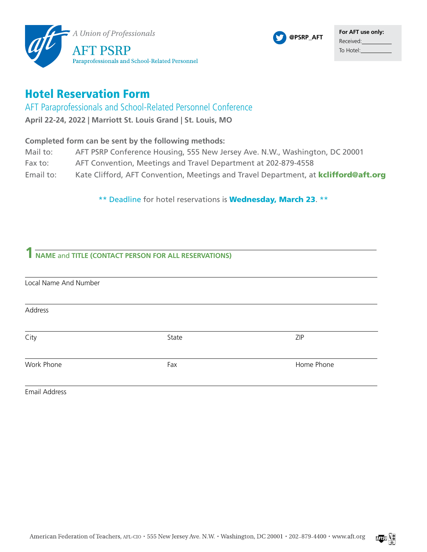

## Hotel Reservation Form

AFT Paraprofessionals and School-Related Personnel Conference

**April 22-24, 2022 | Marriott St. Louis Grand | St. Louis, MO**

## **Completed form can be sent by the following methods:**

- Mail to: AFT PSRP Conference Housing, 555 New Jersey Ave. N.W., Washington, DC 20001
- Fax to: AFT Convention, Meetings and Travel Department at 202-879-4558
- Email to: Kate Clifford, AFT Convention, Meetings and Travel Department, at **[kclifford@aft.org](mailto:kclifford%40aft.org?subject=)**

\*\* Deadline for hotel reservations is **Wednesday, March 23.** \*\*

## **1 NAME** and **TITLE (CONTACT PERSON FOR ALL RESERVATIONS)**

| Local Name And Number |       |            |
|-----------------------|-------|------------|
| Address               |       |            |
| City                  | State | ZIP        |
| Work Phone            | Fax   | Home Phone |
| Email Address         |       |            |



**@PSRP\_AFT**